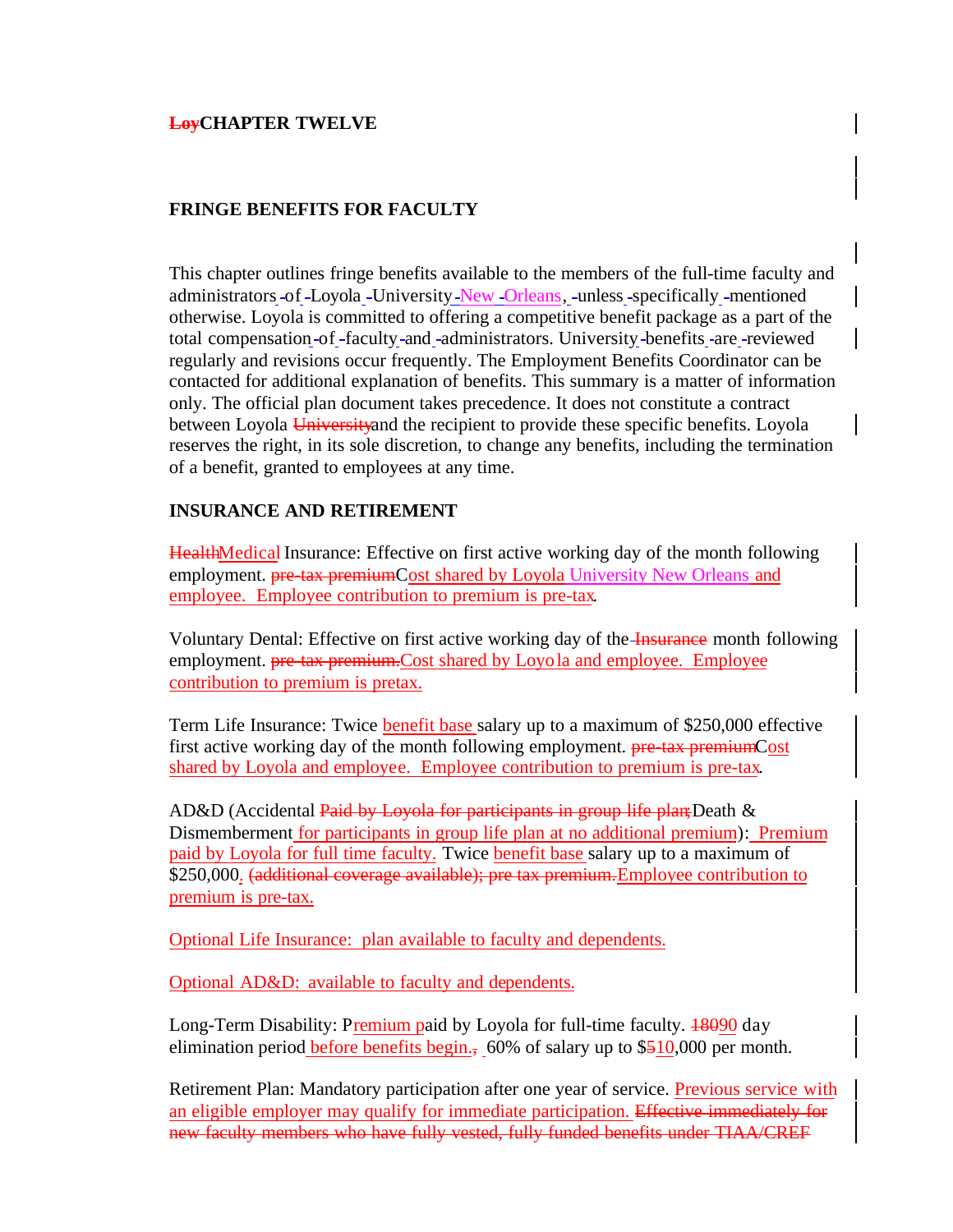# **LoyCHAPTER TWELVE**

# **FRINGE BENEFITS FOR FACULTY**

This chapter outlines fringe benefits available to the members of the full-time faculty and administrators -of -Loyola -University -New -Orleans, -unless -specifically -mentioned otherwise. Loyola is committed to offering a competitive benefit package as a part of the total compensation -of -faculty -and -administrators. University -benefits -are -reviewed regularly and revisions occur frequently. The Employment Benefits Coordinator can be contacted for additional explanation of benefits. This summary is a matter of information only. The official plan document takes precedence. It does not constitute a contract between Loyola Universityand the recipient to provide these specific benefits. Loyola reserves the right, in its sole discretion, to change any benefits, including the termination of a benefit, granted to employees at any time.

## **INSURANCE AND RETIREMENT**

HealthMedical Insurance: Effective on first active working day of the month following employment. **pre-tax premiumCost shared by Loyola University New Orleans and** employee. Employee contribution to premium is pre-tax.

Voluntary Dental: Effective on first active working day of the Insurance month following employment. **pre-tax premium.** Cost shared by Loyola and employee. Employee contribution to premium is pretax.

Term Life Insurance: Twice benefit base salary up to a maximum of \$250,000 effective first active working day of the month following employment. pre-tax premiumCost shared by Loyola and employee. Employee contribution to premium is pre-tax.

AD&D (Accidental Paid by Loyola for participants in group life plan; Death & Dismemberment for participants in group life plan at no additional premium): Premium paid by Loyola for full time faculty. Twice benefit base salary up to a maximum of \$250,000. (additional coverage available); pre tax premium. Employee contribution to premium is pre-tax.

Optional Life Insurance: plan available to faculty and dependents.

Optional AD&D:available to faculty and dependents.

Long-Term Disability: Premium paid by Loyola for full-time faculty. 18090 day elimination period before benefits begin.,  $60\%$  of salary up to \$510,000 per month.

Retirement Plan: Mandatory participation after one year of service. Previous service with an eligible employer may qualify for immediate participation. Effective immediately for new faculty members who have fully vested, fully funded benefits under TIAA/CREF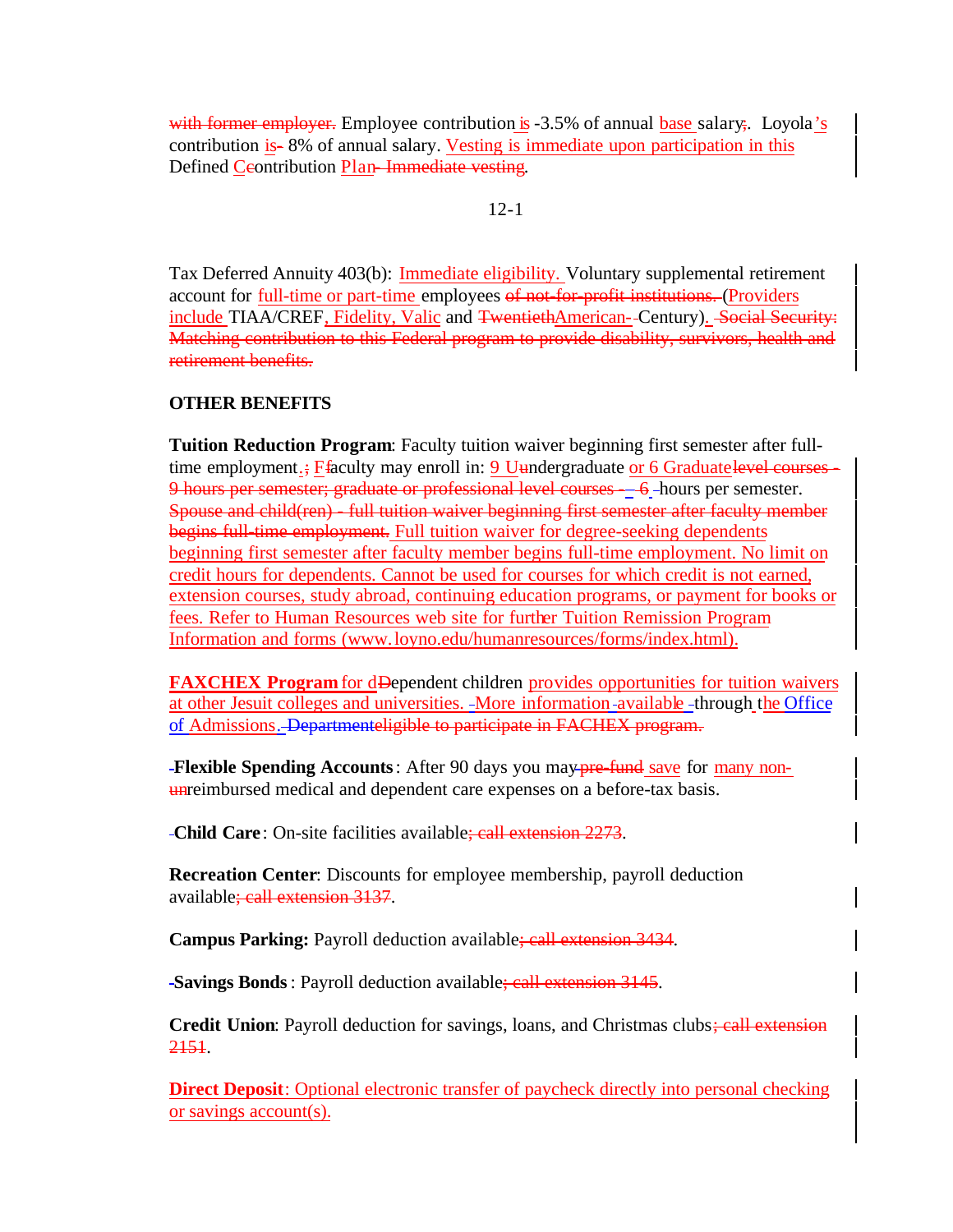with former employer. Employee contribution is -3.5% of annual base salary;. Loyola's contribution is- 8% of annual salary. Vesting is immediate upon participation in this Defined Ceontribution Plan-Immediate vesting.

## 12-1

Tax Deferred Annuity 403(b): Immediate eligibility. Voluntary supplemental retirement account for full-time or part-time employees of not-for-profit institutions. (Providers include TIAA/CREF, Fidelity, Valic and TwentiethAmerican--Century). Social Security: Matching contribution to this Federal program to provide disability, survivors, health and retirement benefits.

# **OTHER BENEFITS**

**Tuition Reduction Program**: Faculty tuition waiver beginning first semester after fulltime employment.; Ffaculty may enroll in: 9 Uundergraduate or 6 Graduatelevel courses 9 hours per semester; graduate or professional level courses - 6 hours per semester. Spouse and child(ren) - full tuition waiver beginning first semester after faculty member begins full-time employment. Full tuition waiver for degree-seeking dependents beginning first semester after faculty member begins full-time employment. No limit on credit hours for dependents. Cannot be used for courses for which credit is not earned, extension courses, study abroad, continuing education programs, or payment for books or fees. Refer to Human Resources web site for further Tuition Remission Program Information and forms (www.loyno.edu/humanresources/forms/index.html).

**FAXCHEX Program** for dDependent children provides opportunities for tuition waivers at other Jesuit colleges and universities. More information available through the Office of Admissions. Departmenteligible to participate in FACHEX program.

**Flexible Spending Accounts**: After 90 days you may **pre-fund** save for many nonunreimbursed medical and dependent care expenses on a before-tax basis.

**Child Care**: On-site facilities available; call extension 2273.

**Recreation Center**: Discounts for employee membership, payroll deduction available; call extension 3137.

**Campus Parking:** Payroll deduction available; call extension 3434.

**Savings Bonds**: Payroll deduction available; call extension 3145.

**Credit Union:** Payroll deduction for savings, loans, and Christmas clubs; call extension 2151.

**Direct Deposit**: Optional electronic transfer of paycheck directly into personal checking or savings account(s).